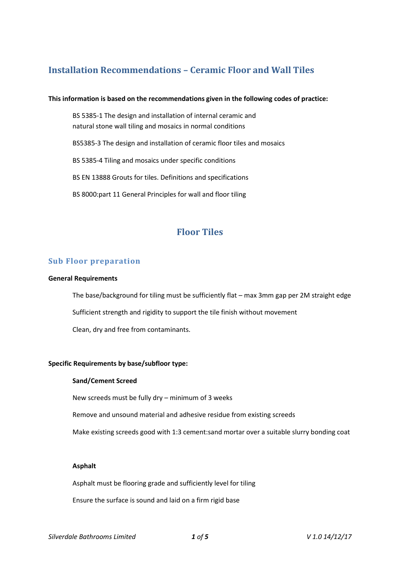# **Installation Recommendations – Ceramic Floor and Wall Tiles**

### **This information is based on the recommendations given in the following codes of practice:**

BS 5385-1 The design and installation of internal ceramic and natural stone wall tiling and mosaics in normal conditions

BS5385-3 The design and installation of ceramic floor tiles and mosaics

BS 5385-4 Tiling and mosaics under specific conditions

BS EN 13888 Grouts for tiles. Definitions and specifications

BS 8000:part 11 General Principles for wall and floor tiling

# **Floor Tiles**

# **Sub Floor preparation**

#### **General Requirements**

The base/background for tiling must be sufficiently flat – max 3mm gap per 2M straight edge Sufficient strength and rigidity to support the tile finish without movement Clean, dry and free from contaminants.

## **Specific Requirements by base/subfloor type:**

## **Sand/Cement Screed**

New screeds must be fully dry – minimum of 3 weeks

Remove and unsound material and adhesive residue from existing screeds

Make existing screeds good with 1:3 cement:sand mortar over a suitable slurry bonding coat

## **Asphalt**

Asphalt must be flooring grade and sufficiently level for tiling

Ensure the surface is sound and laid on a firm rigid base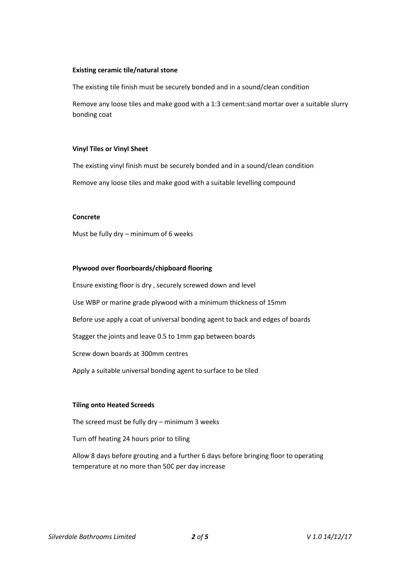### **Existing ceramic tile/natural stone**

The existing tile finish must be securely bonded and in a sound/clean condition

Remove any loose tiles and make good with a 1:3 cement:sand mortar over a suitable slurry bonding coat

### **Vinyl Tiles or Vinyl Sheet**

The existing vinyl finish must be securely bonded and in a sound/clean condition

Remove any loose tiles and make good with a suitable levelling compound

### **Concrete**

Must be fully dry – minimum of 6 weeks

## **Plywood over floorboards/chipboard flooring**

Ensure existing floor is dry , securely screwed down and level Use WBP or marine grade plywood with a minimum thickness of 15mm Before use apply a coat of universal bonding agent to back and edges of boards Stagger the joints and leave 0.5 to 1mm gap between boards Screw down boards at 300mm centres Apply a suitable universal bonding agent to surface to be tiled

## **Tiling onto Heated Screeds**

The screed must be fully dry – minimum 3 weeks

Turn off heating 24 hours prior to tiling

Allow 8 days before grouting and a further 6 days before bringing floor to operating temperature at no more than 50C per day increase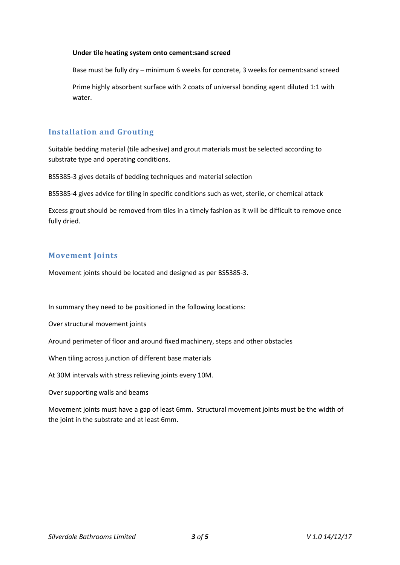### **Under tile heating system onto cement:sand screed**

Base must be fully dry – minimum 6 weeks for concrete, 3 weeks for cement:sand screed

Prime highly absorbent surface with 2 coats of universal bonding agent diluted 1:1 with water.

# **Installation and Grouting**

Suitable bedding material (tile adhesive) and grout materials must be selected according to substrate type and operating conditions.

BS5385-3 gives details of bedding techniques and material selection

BS5385-4 gives advice for tiling in specific conditions such as wet, sterile, or chemical attack

Excess grout should be removed from tiles in a timely fashion as it will be difficult to remove once fully dried.

# **Movement Joints**

Movement joints should be located and designed as per BS5385-3.

In summary they need to be positioned in the following locations:

Over structural movement joints

Around perimeter of floor and around fixed machinery, steps and other obstacles

When tiling across junction of different base materials

At 30M intervals with stress relieving joints every 10M.

Over supporting walls and beams

Movement joints must have a gap of least 6mm. Structural movement joints must be the width of the joint in the substrate and at least 6mm.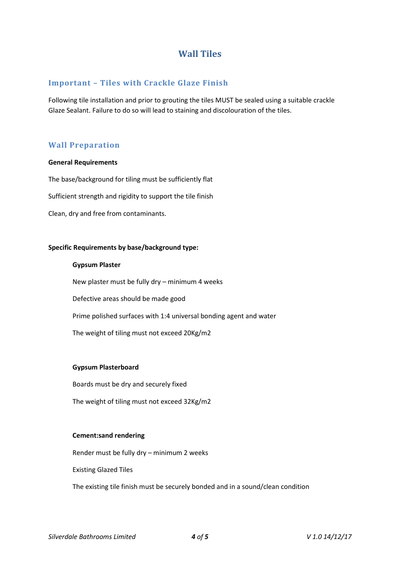# **Wall Tiles**

# **Important – Tiles with Crackle Glaze Finish**

Following tile installation and prior to grouting the tiles MUST be sealed using a suitable crackle Glaze Sealant. Failure to do so will lead to staining and discolouration of the tiles.

# **Wall Preparation**

### **General Requirements**

The base/background for tiling must be sufficiently flat

Sufficient strength and rigidity to support the tile finish

Clean, dry and free from contaminants.

## **Specific Requirements by base/background type:**

### **Gypsum Plaster**

New plaster must be fully dry – minimum 4 weeks Defective areas should be made good Prime polished surfaces with 1:4 universal bonding agent and water The weight of tiling must not exceed 20Kg/m2

## **Gypsum Plasterboard**

Boards must be dry and securely fixed

The weight of tiling must not exceed 32Kg/m2

## **Cement:sand rendering**

Render must be fully dry – minimum 2 weeks

Existing Glazed Tiles

The existing tile finish must be securely bonded and in a sound/clean condition